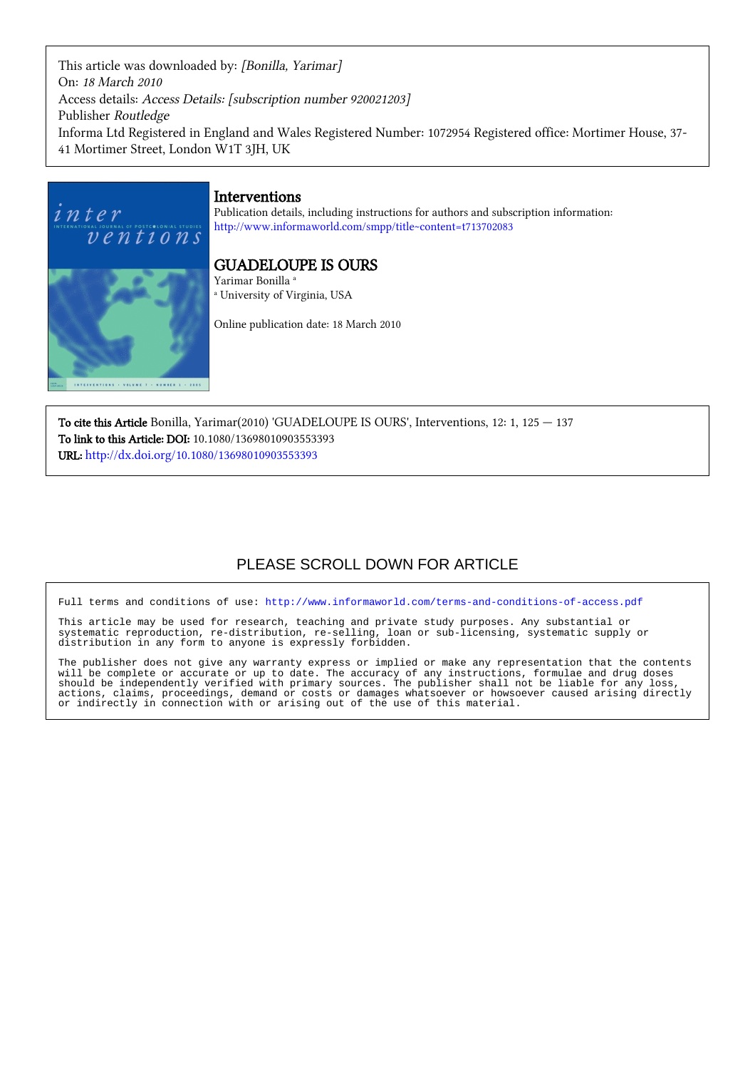This article was downloaded by: [Bonilla, Yarimar] On: 18 March 2010 Access details: Access Details: [subscription number 920021203] Publisher Routledge Informa Ltd Registered in England and Wales Registered Number: 1072954 Registered office: Mortimer House, 37- 41 Mortimer Street, London W1T 3JH, UK



### Interventions

Publication details, including instructions for authors and subscription information: <http://www.informaworld.com/smpp/title~content=t713702083>

## GUADELOUPE IS OURS

Yarimar Bonilla<sup>a</sup> a University of Virginia, USA

Online publication date: 18 March 2010

To cite this Article Bonilla, Yarimar(2010) 'GUADELOUPE IS OURS', Interventions, 12: 1, 125 — 137 To link to this Article: DOI: 10.1080/13698010903553393 URL: <http://dx.doi.org/10.1080/13698010903553393>

# PLEASE SCROLL DOWN FOR ARTICLE

Full terms and conditions of use:<http://www.informaworld.com/terms-and-conditions-of-access.pdf>

This article may be used for research, teaching and private study purposes. Any substantial or systematic reproduction, re-distribution, re-selling, loan or sub-licensing, systematic supply or distribution in any form to anyone is expressly forbidden.

The publisher does not give any warranty express or implied or make any representation that the contents will be complete or accurate or up to date. The accuracy of any instructions, formulae and drug doses should be independently verified with primary sources. The publisher shall not be liable for any loss, actions, claims, proceedings, demand or costs or damages whatsoever or howsoever caused arising directly or indirectly in connection with or arising out of the use of this material.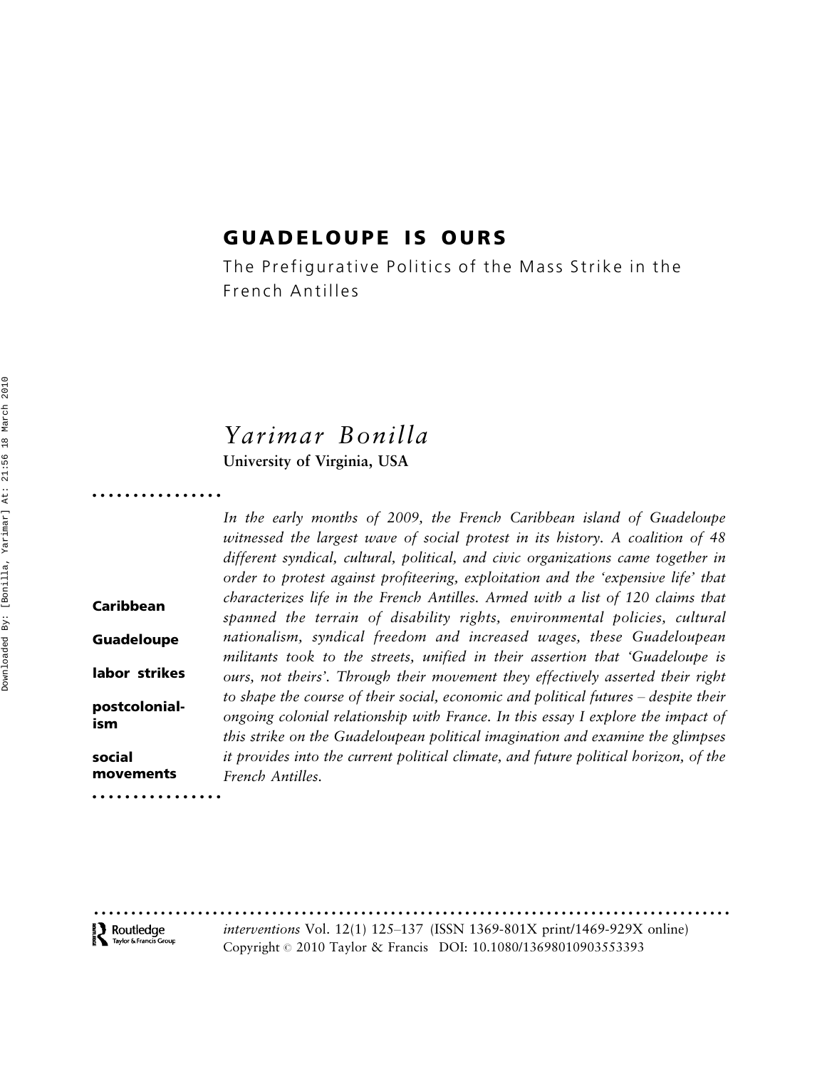## GUADELOUPE IS OURS

The Prefigurative Politics of the Mass Strike in the French Antilles

# Yarimar Bonilla University of Virginia, USA

In the early months of 2009, the French Caribbean island of Guadeloupe witnessed the largest wave of social protest in its history. A coalition of 48 different syndical, cultural, political, and civic organizations came together in order to protest against profiteering, exploitation and the 'expensive life' that characterizes life in the French Antilles. Armed with a list of 120 claims that spanned the terrain of disability rights, environmental policies, cultural nationalism, syndical freedom and increased wages, these Guadeloupean militants took to the streets, unified in their assertion that 'Guadeloupe is ours, not theirs'. Through their movement they effectively asserted their right to shape the course of their social, economic and political futures – despite their ongoing colonial relationship with France. In this essay I explore the impact of this strike on the Guadeloupean political imagination and examine the glimpses it provides into the current political climate, and future political horizon, of the French Antilles. Caribbean Guadeloupe labor strikes postcolonialism social movements

................

................

Routledge

...................................................................................... interventions Vol. 12(1) 125-137 (ISSN 1369-801X print/1469-929X online) Copyright @ 2010 Taylor & Francis DOI: 10.1080/13698010903553393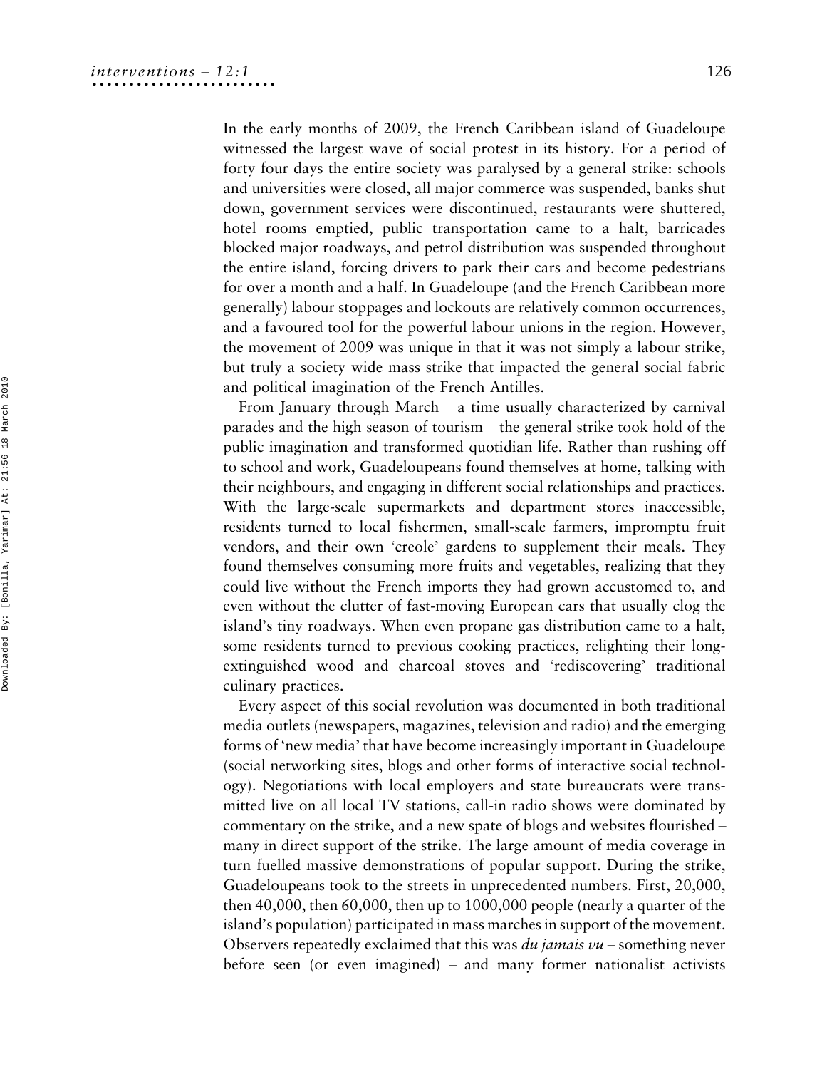In the early months of 2009, the French Caribbean island of Guadeloupe witnessed the largest wave of social protest in its history. For a period of forty four days the entire society was paralysed by a general strike: schools and universities were closed, all major commerce was suspended, banks shut down, government services were discontinued, restaurants were shuttered, hotel rooms emptied, public transportation came to a halt, barricades blocked major roadways, and petrol distribution was suspended throughout the entire island, forcing drivers to park their cars and become pedestrians for over a month and a half. In Guadeloupe (and the French Caribbean more generally) labour stoppages and lockouts are relatively common occurrences, and a favoured tool for the powerful labour unions in the region. However, the movement of 2009 was unique in that it was not simply a labour strike, but truly a society wide mass strike that impacted the general social fabric and political imagination of the French Antilles.

From January through March  $-$  a time usually characterized by carnival parades and the high season of tourism  $-$  the general strike took hold of the public imagination and transformed quotidian life. Rather than rushing off to school and work, Guadeloupeans found themselves at home, talking with their neighbours, and engaging in different social relationships and practices. With the large-scale supermarkets and department stores inaccessible, residents turned to local fishermen, small-scale farmers, impromptu fruit vendors, and their own 'creole' gardens to supplement their meals. They found themselves consuming more fruits and vegetables, realizing that they could live without the French imports they had grown accustomed to, and even without the clutter of fast-moving European cars that usually clog the island's tiny roadways. When even propane gas distribution came to a halt, some residents turned to previous cooking practices, relighting their longextinguished wood and charcoal stoves and 'rediscovering' traditional culinary practices.

Every aspect of this social revolution was documented in both traditional media outlets (newspapers, magazines, television and radio) and the emerging forms of 'new media' that have become increasingly important in Guadeloupe (social networking sites, blogs and other forms of interactive social technology). Negotiations with local employers and state bureaucrats were transmitted live on all local TV stations, call-in radio shows were dominated by commentary on the strike, and a new spate of blogs and websites flourished many in direct support of the strike. The large amount of media coverage in turn fuelled massive demonstrations of popular support. During the strike, Guadeloupeans took to the streets in unprecedented numbers. First, 20,000, then 40,000, then 60,000, then up to 1000,000 people (nearly a quarter of the island's population) participated in mass marches in support of the movement. Observers repeatedly exclaimed that this was *du jamais vu* – something never before seen (or even imagined)  $-$  and many former nationalist activists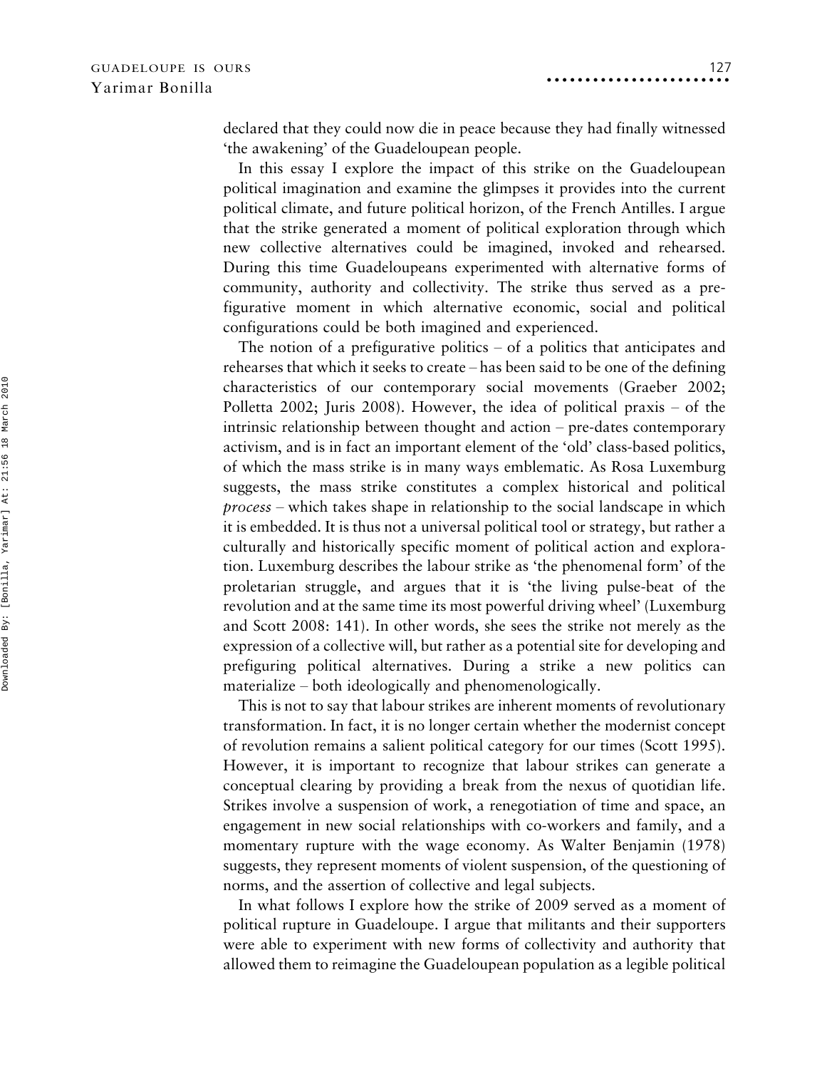declared that they could now die in peace because they had finally witnessed 'the awakening' of the Guadeloupean people.

In this essay I explore the impact of this strike on the Guadeloupean political imagination and examine the glimpses it provides into the current political climate, and future political horizon, of the French Antilles. I argue that the strike generated a moment of political exploration through which new collective alternatives could be imagined, invoked and rehearsed. During this time Guadeloupeans experimented with alternative forms of community, authority and collectivity. The strike thus served as a prefigurative moment in which alternative economic, social and political configurations could be both imagined and experienced.

The notion of a prefigurative politics  $-$  of a politics that anticipates and rehearses that which it seeks to create has been said to be one of the defining characteristics of our contemporary social movements (Graeber 2002; Polletta 2002; Juris 2008). However, the idea of political praxis  $-$  of the intrinsic relationship between thought and action  $-$  pre-dates contemporary activism, and is in fact an important element of the 'old' class-based politics, of which the mass strike is in many ways emblematic. As Rosa Luxemburg suggests, the mass strike constitutes a complex historical and political  $process$  – which takes shape in relationship to the social landscape in which it is embedded. It is thus not a universal political tool or strategy, but rather a culturally and historically specific moment of political action and exploration. Luxemburg describes the labour strike as 'the phenomenal form' of the proletarian struggle, and argues that it is 'the living pulse-beat of the revolution and at the same time its most powerful driving wheel' (Luxemburg and Scott 2008: 141). In other words, she sees the strike not merely as the expression of a collective will, but rather as a potential site for developing and prefiguring political alternatives. During a strike a new politics can materialize – both ideologically and phenomenologically.

This is not to say that labour strikes are inherent moments of revolutionary transformation. In fact, it is no longer certain whether the modernist concept of revolution remains a salient political category for our times (Scott 1995). However, it is important to recognize that labour strikes can generate a conceptual clearing by providing a break from the nexus of quotidian life. Strikes involve a suspension of work, a renegotiation of time and space, an engagement in new social relationships with co-workers and family, and a momentary rupture with the wage economy. As Walter Benjamin (1978) suggests, they represent moments of violent suspension, of the questioning of norms, and the assertion of collective and legal subjects.

In what follows I explore how the strike of 2009 served as a moment of political rupture in Guadeloupe. I argue that militants and their supporters were able to experiment with new forms of collectivity and authority that allowed them to reimagine the Guadeloupean population as a legible political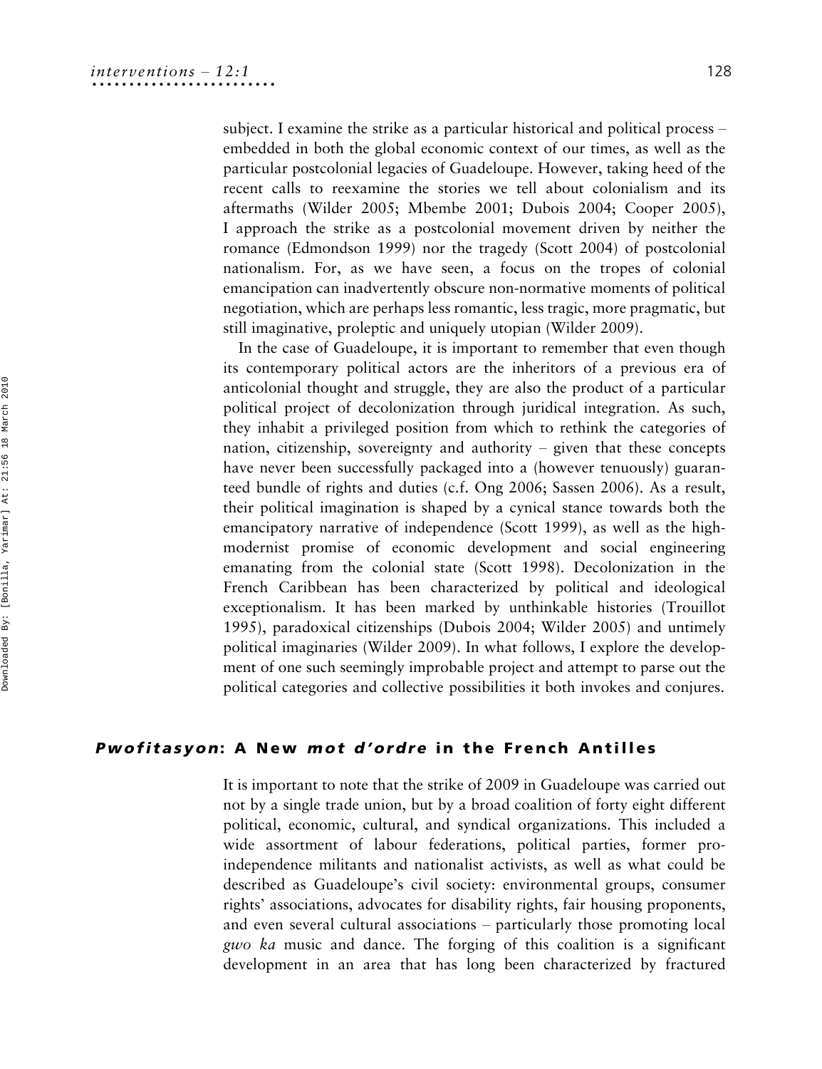subject. I examine the strike as a particular historical and political process embedded in both the global economic context of our times, as well as the particular postcolonial legacies of Guadeloupe. However, taking heed of the recent calls to reexamine the stories we tell about colonialism and its aftermaths (Wilder 2005; Mbembe 2001; Dubois 2004; Cooper 2005), I approach the strike as a postcolonial movement driven by neither the romance (Edmondson 1999) nor the tragedy (Scott 2004) of postcolonial nationalism. For, as we have seen, a focus on the tropes of colonial emancipation can inadvertently obscure non-normative moments of political negotiation, which are perhaps less romantic, less tragic, more pragmatic, but still imaginative, proleptic and uniquely utopian (Wilder 2009).

In the case of Guadeloupe, it is important to remember that even though its contemporary political actors are the inheritors of a previous era of anticolonial thought and struggle, they are also the product of a particular political project of decolonization through juridical integration. As such, they inhabit a privileged position from which to rethink the categories of nation, citizenship, sovereignty and authority  $-$  given that these concepts have never been successfully packaged into a (however tenuously) guaranteed bundle of rights and duties (c.f. Ong 2006; Sassen 2006). As a result, their political imagination is shaped by a cynical stance towards both the emancipatory narrative of independence (Scott 1999), as well as the highmodernist promise of economic development and social engineering emanating from the colonial state (Scott 1998). Decolonization in the French Caribbean has been characterized by political and ideological exceptionalism. It has been marked by unthinkable histories (Trouillot 1995), paradoxical citizenships (Dubois 2004; Wilder 2005) and untimely political imaginaries (Wilder 2009). In what follows, I explore the development of one such seemingly improbable project and attempt to parse out the political categories and collective possibilities it both invokes and conjures.

### Pwofitasyon: A New mot d'ordre in the French Antilles

It is important to note that the strike of 2009 in Guadeloupe was carried out not by a single trade union, but by a broad coalition of forty eight different political, economic, cultural, and syndical organizations. This included a wide assortment of labour federations, political parties, former proindependence militants and nationalist activists, as well as what could be described as Guadeloupe's civil society: environmental groups, consumer rights' associations, advocates for disability rights, fair housing proponents, and even several cultural associations particularly those promoting local gwo ka music and dance. The forging of this coalition is a significant development in an area that has long been characterized by fractured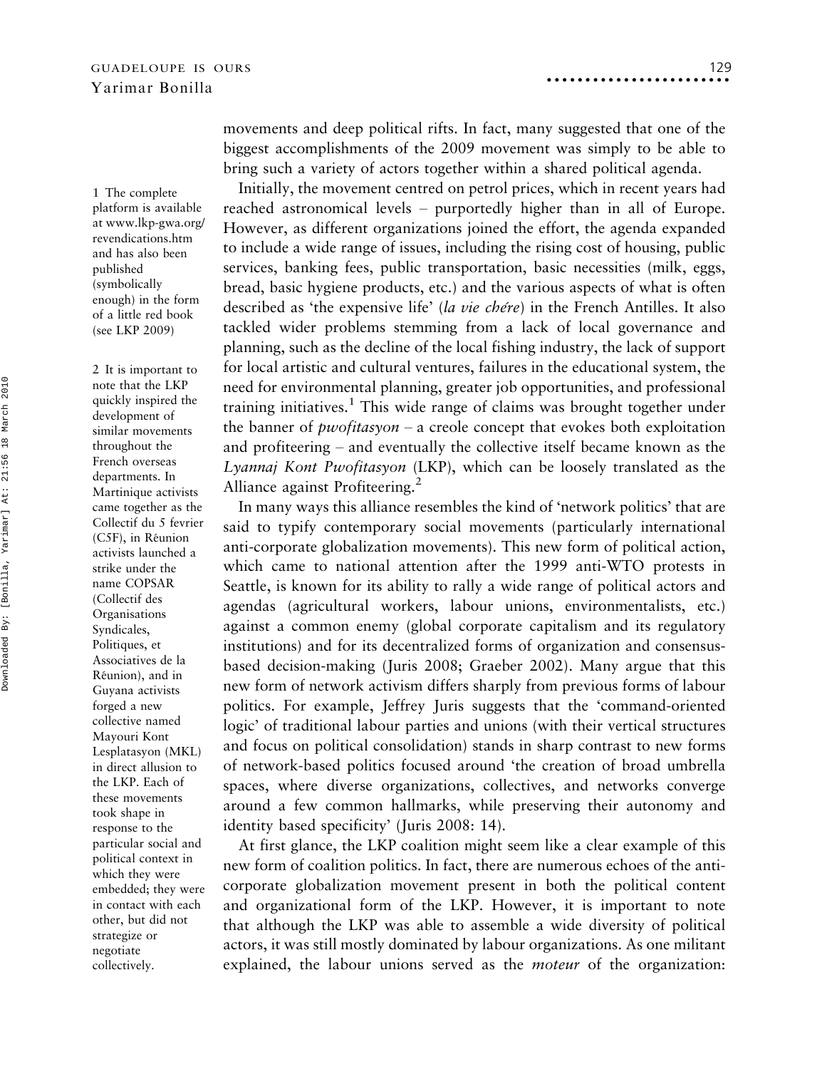movements and deep political rifts. In fact, many suggested that one of the biggest accomplishments of the 2009 movement was simply to be able to bring such a variety of actors together within a shared political agenda.

Initially, the movement centred on petrol prices, which in recent years had reached astronomical levels purportedly higher than in all of Europe. However, as different organizations joined the effort, the agenda expanded to include a wide range of issues, including the rising cost of housing, public services, banking fees, public transportation, basic necessities (milk, eggs, bread, basic hygiene products, etc.) and the various aspects of what is often described as 'the expensive life' (la vie chére) in the French Antilles. It also tackled wider problems stemming from a lack of local governance and planning, such as the decline of the local fishing industry, the lack of support for local artistic and cultural ventures, failures in the educational system, the need for environmental planning, greater job opportunities, and professional training initiatives.<sup>1</sup> This wide range of claims was brought together under the banner of *pwofitasyon* – a creole concept that evokes both exploitation and profiteering  $-$  and eventually the collective itself became known as the Lyannaj Kont Pwofitasyon (LKP), which can be loosely translated as the Alliance against Profiteering.<sup>2</sup>

In many ways this alliance resembles the kind of 'network politics' that are said to typify contemporary social movements (particularly international anti-corporate globalization movements). This new form of political action, which came to national attention after the 1999 anti-WTO protests in Seattle, is known for its ability to rally a wide range of political actors and agendas (agricultural workers, labour unions, environmentalists, etc.) against a common enemy (global corporate capitalism and its regulatory institutions) and for its decentralized forms of organization and consensusbased decision-making (Juris 2008; Graeber 2002). Many argue that this new form of network activism differs sharply from previous forms of labour politics. For example, Jeffrey Juris suggests that the 'command-oriented logic' of traditional labour parties and unions (with their vertical structures and focus on political consolidation) stands in sharp contrast to new forms of network-based politics focused around 'the creation of broad umbrella spaces, where diverse organizations, collectives, and networks converge around a few common hallmarks, while preserving their autonomy and identity based specificity' (Juris 2008: 14).

At first glance, the LKP coalition might seem like a clear example of this new form of coalition politics. In fact, there are numerous echoes of the anticorporate globalization movement present in both the political content and organizational form of the LKP. However, it is important to note that although the LKP was able to assemble a wide diversity of political actors, it was still mostly dominated by labour organizations. As one militant explained, the labour unions served as the *moteur* of the organization:

1 The complete platform is available at www.lkp-gwa.org/ revendications.htm and has also been published (symbolically enough) in the form of a little red book (see LKP 2009)

2 It is important to note that the LKP quickly inspired the development of similar movements throughout the French overseas departments. In Martinique activists came together as the Collectif du 5 fevrier (C5F), in Réunion activists launched a strike under the name COPSAR (Collectif des Organisations Syndicales, Politiques, et Associatives de la Réunion), and in Guyana activists forged a new collective named Mayouri Kont Lesplatasyon (MKL) in direct allusion to the LKP. Each of these movements took shape in response to the particular social and political context in which they were embedded; they were in contact with each other, but did not strategize or negotiate collectively.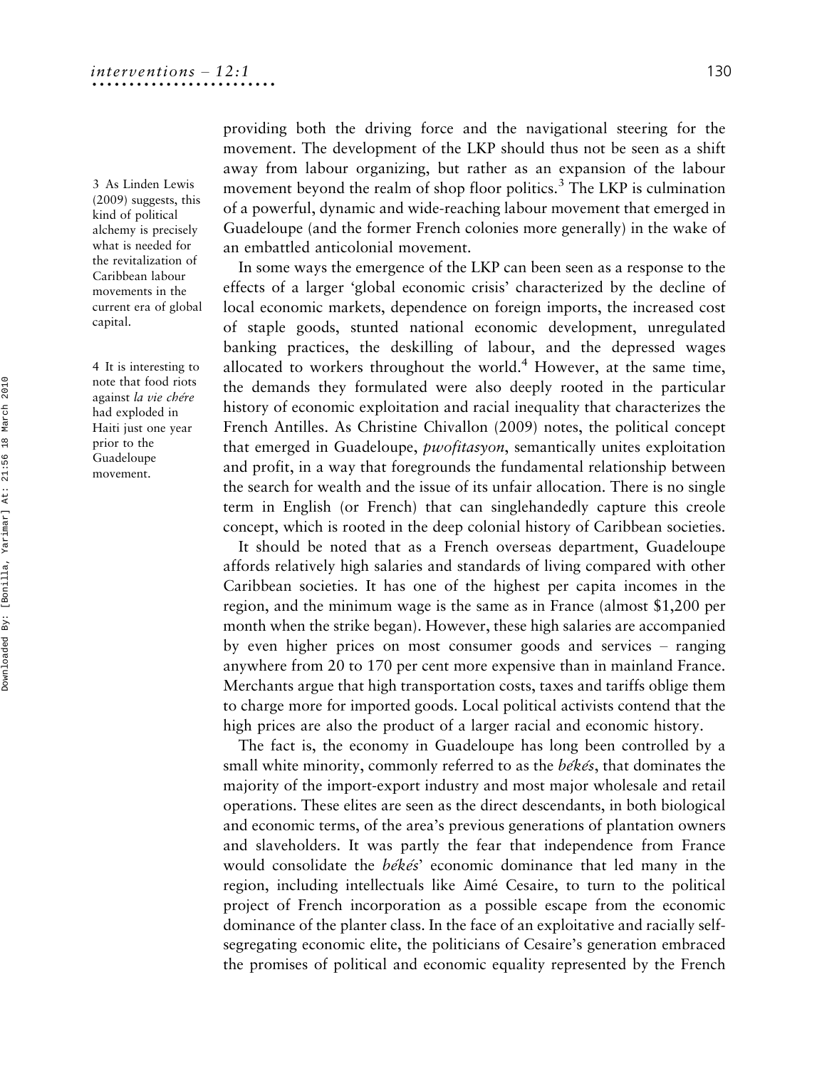3 As Linden Lewis (2009) suggests, this kind of political alchemy is precisely what is needed for the revitalization of Caribbean labour movements in the current era of global capital.

4 It is interesting to note that food riots against la vie chére had exploded in Haiti just one year prior to the Guadeloupe movement.

providing both the driving force and the navigational steering for the movement. The development of the LKP should thus not be seen as a shift away from labour organizing, but rather as an expansion of the labour movement beyond the realm of shop floor politics.<sup>3</sup> The LKP is culmination of a powerful, dynamic and wide-reaching labour movement that emerged in Guadeloupe (and the former French colonies more generally) in the wake of an embattled anticolonial movement.

In some ways the emergence of the LKP can been seen as a response to the effects of a larger 'global economic crisis' characterized by the decline of local economic markets, dependence on foreign imports, the increased cost of staple goods, stunted national economic development, unregulated banking practices, the deskilling of labour, and the depressed wages allocated to workers throughout the world. $4$  However, at the same time, the demands they formulated were also deeply rooted in the particular history of economic exploitation and racial inequality that characterizes the French Antilles. As Christine Chivallon (2009) notes, the political concept that emerged in Guadeloupe, *pwofitasyon*, semantically unites exploitation and profit, in a way that foregrounds the fundamental relationship between the search for wealth and the issue of its unfair allocation. There is no single term in English (or French) that can singlehandedly capture this creole concept, which is rooted in the deep colonial history of Caribbean societies.

It should be noted that as a French overseas department, Guadeloupe affords relatively high salaries and standards of living compared with other Caribbean societies. It has one of the highest per capita incomes in the region, and the minimum wage is the same as in France (almost \$1,200 per month when the strike began). However, these high salaries are accompanied by even higher prices on most consumer goods and services ranging anywhere from 20 to 170 per cent more expensive than in mainland France. Merchants argue that high transportation costs, taxes and tariffs oblige them to charge more for imported goods. Local political activists contend that the high prices are also the product of a larger racial and economic history.

The fact is, the economy in Guadeloupe has long been controlled by a small white minority, commonly referred to as the *békés*, that dominates the majority of the import-export industry and most major wholesale and retail operations. These elites are seen as the direct descendants, in both biological and economic terms, of the area's previous generations of plantation owners and slaveholders. It was partly the fear that independence from France would consolidate the *békés*' economic dominance that led many in the region, including intellectuals like Aimé Cesaire, to turn to the political project of French incorporation as a possible escape from the economic dominance of the planter class. In the face of an exploitative and racially selfsegregating economic elite, the politicians of Cesaire's generation embraced the promises of political and economic equality represented by the French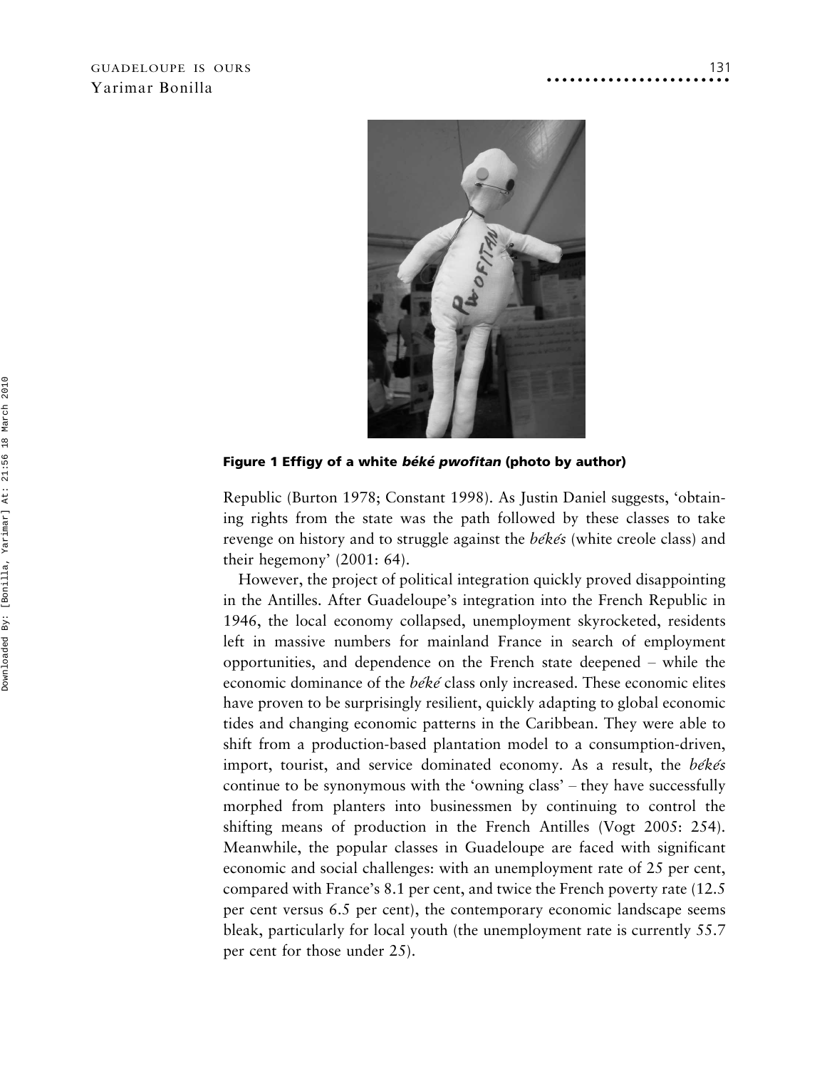

Figure 1 Effigy of a white beke pwofitan (photo by author)

Republic (Burton 1978; Constant 1998). As Justin Daniel suggests, 'obtaining rights from the state was the path followed by these classes to take revenge on history and to struggle against the *békés* (white creole class) and their hegemony' (2001: 64).

However, the project of political integration quickly proved disappointing in the Antilles. After Guadeloupe's integration into the French Republic in 1946, the local economy collapsed, unemployment skyrocketed, residents left in massive numbers for mainland France in search of employment opportunities, and dependence on the French state deepened  $-$  while the economic dominance of the  $b\acute{e}k\acute{e}$  class only increased. These economic elites have proven to be surprisingly resilient, quickly adapting to global economic tides and changing economic patterns in the Caribbean. They were able to shift from a production-based plantation model to a consumption-driven, import, tourist, and service dominated economy. As a result, the *békés* continue to be synonymous with the 'owning class' – they have successfully morphed from planters into businessmen by continuing to control the shifting means of production in the French Antilles (Vogt 2005: 254). Meanwhile, the popular classes in Guadeloupe are faced with significant economic and social challenges: with an unemployment rate of 25 per cent, compared with France's 8.1 per cent, and twice the French poverty rate (12.5 per cent versus 6.5 per cent), the contemporary economic landscape seems bleak, particularly for local youth (the unemployment rate is currently 55.7 per cent for those under 25).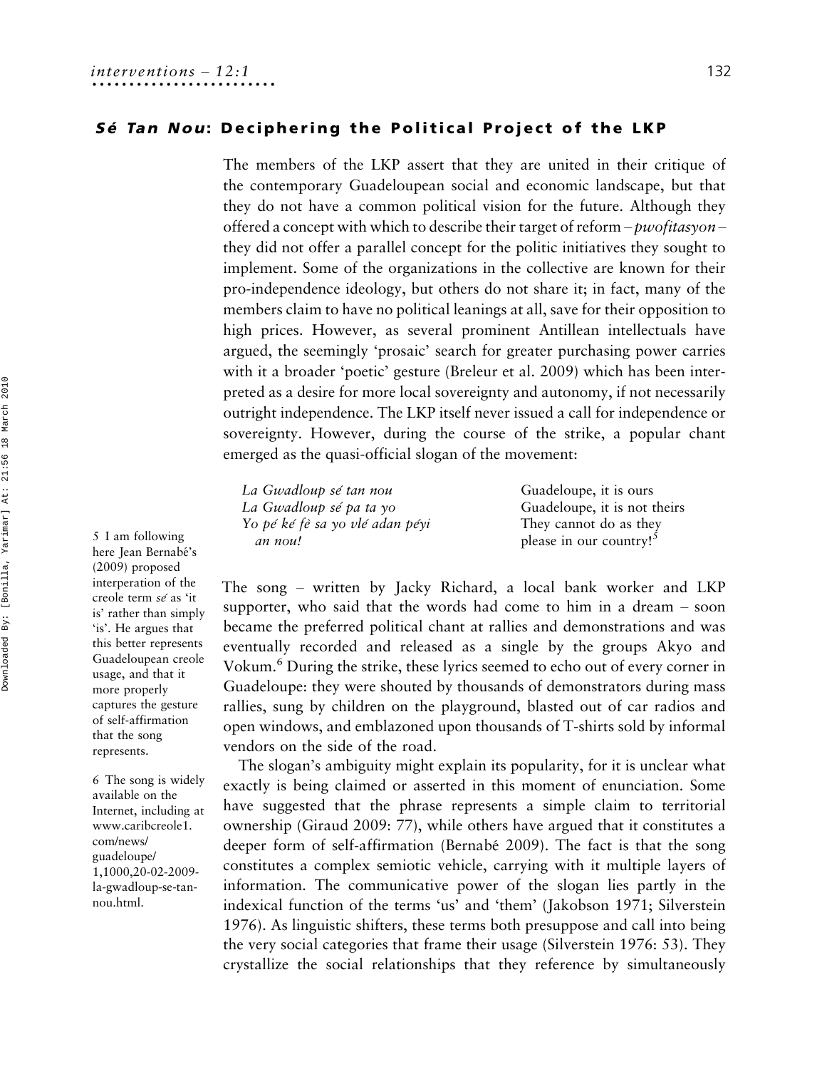### Sé Tan Nou: Deciphering the Political Project of the LKP

The members of the LKP assert that they are united in their critique of the contemporary Guadeloupean social and economic landscape, but that they do not have a common political vision for the future. Although they offered a concept with which to describe their target of reform  $-pwof$  *tasyon*  $-\frac{p}{p}$ they did not offer a parallel concept for the politic initiatives they sought to implement. Some of the organizations in the collective are known for their pro-independence ideology, but others do not share it; in fact, many of the members claim to have no political leanings at all, save for their opposition to high prices. However, as several prominent Antillean intellectuals have argued, the seemingly 'prosaic' search for greater purchasing power carries with it a broader 'poetic' gesture (Breleur et al. 2009) which has been interpreted as a desire for more local sovereignty and autonomy, if not necessarily outright independence. The LKP itself never issued a call for independence or sovereignty. However, during the course of the strike, a popular chant emerged as the quasi-official slogan of the movement:

|                  | La Gwadloup sé tan nou          | Guadeloupe, it is ours              |
|------------------|---------------------------------|-------------------------------------|
|                  | La Gwadloup sé pa ta yo         | Guadeloupe, it is not theirs        |
|                  | Yo pé ké fè sa yo vlé adan péyi | They cannot do as they              |
| 5 I am following | an nou!                         | please in our country! <sup>5</sup> |

The song written by Jacky Richard, a local bank worker and LKP supporter, who said that the words had come to him in a dream  $-$  soon became the preferred political chant at rallies and demonstrations and was eventually recorded and released as a single by the groups Akyo and Vokum.6 During the strike, these lyrics seemed to echo out of every corner in Guadeloupe: they were shouted by thousands of demonstrators during mass rallies, sung by children on the playground, blasted out of car radios and open windows, and emblazoned upon thousands of T-shirts sold by informal vendors on the side of the road.

The slogan's ambiguity might explain its popularity, for it is unclear what exactly is being claimed or asserted in this moment of enunciation. Some have suggested that the phrase represents a simple claim to territorial ownership (Giraud 2009: 77), while others have argued that it constitutes a deeper form of self-affirmation (Bernabé 2009). The fact is that the song constitutes a complex semiotic vehicle, carrying with it multiple layers of information. The communicative power of the slogan lies partly in the indexical function of the terms 'us' and 'them' (Jakobson 1971; Silverstein 1976). As linguistic shifters, these terms both presuppose and call into being the very social categories that frame their usage (Silverstein 1976: 53). They crystallize the social relationships that they reference by simultaneously

here Jean Bernabé's (2009) proposed interperation of the creole term sé as 'it is' rather than simply 'is'. He argues that this better represents Guadeloupean creole usage, and that it more properly captures the gesture of self-affirmation that the song represents.

6 The song is widely available on the Internet, including at www.caribcreole1. com/news/ guadeloupe/ 1,1000,20-02-2009 la-gwadloup-se-tannou.html.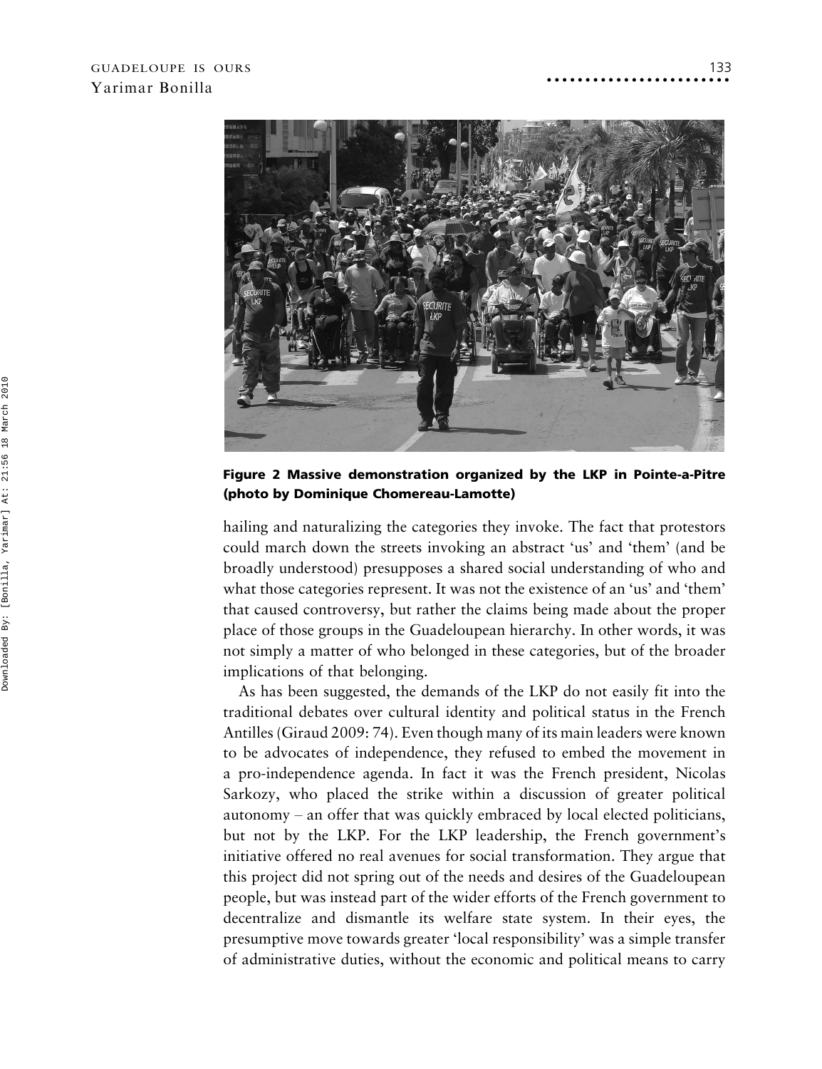

Figure 2 Massive demonstration organized by the LKP in Pointe-a-Pitre (photo by Dominique Chomereau-Lamotte)

hailing and naturalizing the categories they invoke. The fact that protestors could march down the streets invoking an abstract 'us' and 'them' (and be broadly understood) presupposes a shared social understanding of who and what those categories represent. It was not the existence of an 'us' and 'them' that caused controversy, but rather the claims being made about the proper place of those groups in the Guadeloupean hierarchy. In other words, it was not simply a matter of who belonged in these categories, but of the broader implications of that belonging.

As has been suggested, the demands of the LKP do not easily fit into the traditional debates over cultural identity and political status in the French Antilles (Giraud 2009: 74). Even though many of its main leaders were known to be advocates of independence, they refused to embed the movement in a pro-independence agenda. In fact it was the French president, Nicolas Sarkozy, who placed the strike within a discussion of greater political autonomy - an offer that was quickly embraced by local elected politicians, but not by the LKP. For the LKP leadership, the French government's initiative offered no real avenues for social transformation. They argue that this project did not spring out of the needs and desires of the Guadeloupean people, but was instead part of the wider efforts of the French government to decentralize and dismantle its welfare state system. In their eyes, the presumptive move towards greater 'local responsibility' was a simple transfer of administrative duties, without the economic and political means to carry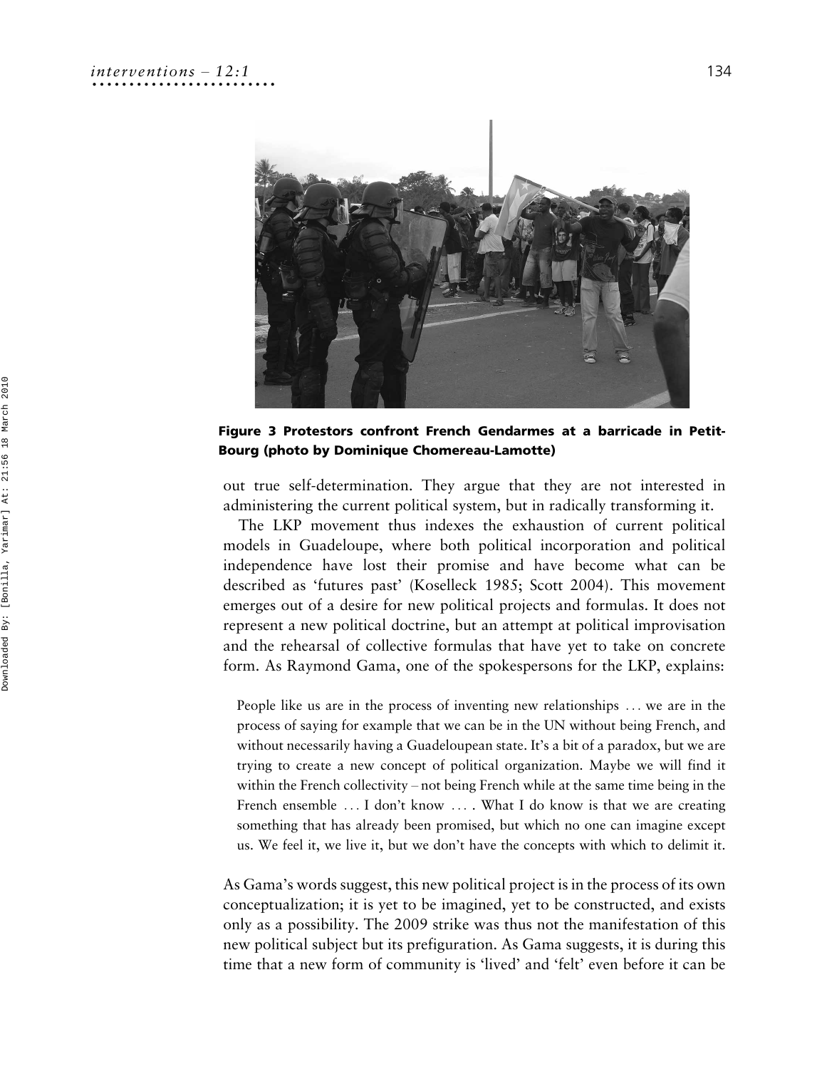

Figure 3 Protestors confront French Gendarmes at a barricade in Petit-Bourg (photo by Dominique Chomereau-Lamotte)

out true self-determination. They argue that they are not interested in administering the current political system, but in radically transforming it.

The LKP movement thus indexes the exhaustion of current political models in Guadeloupe, where both political incorporation and political independence have lost their promise and have become what can be described as 'futures past' (Koselleck 1985; Scott 2004). This movement emerges out of a desire for new political projects and formulas. It does not represent a new political doctrine, but an attempt at political improvisation and the rehearsal of collective formulas that have yet to take on concrete form. As Raymond Gama, one of the spokespersons for the LKP, explains:

People like us are in the process of inventing new relationships ... we are in the process of saying for example that we can be in the UN without being French, and without necessarily having a Guadeloupean state. It's a bit of a paradox, but we are trying to create a new concept of political organization. Maybe we will find it within the French collectivity  $-$  not being French while at the same time being in the French ensemble ... I don't know .... What I do know is that we are creating something that has already been promised, but which no one can imagine except us. We feel it, we live it, but we don't have the concepts with which to delimit it.

As Gama's words suggest, this new political project is in the process of its own conceptualization; it is yet to be imagined, yet to be constructed, and exists only as a possibility. The 2009 strike was thus not the manifestation of this new political subject but its prefiguration. As Gama suggests, it is during this time that a new form of community is 'lived' and 'felt' even before it can be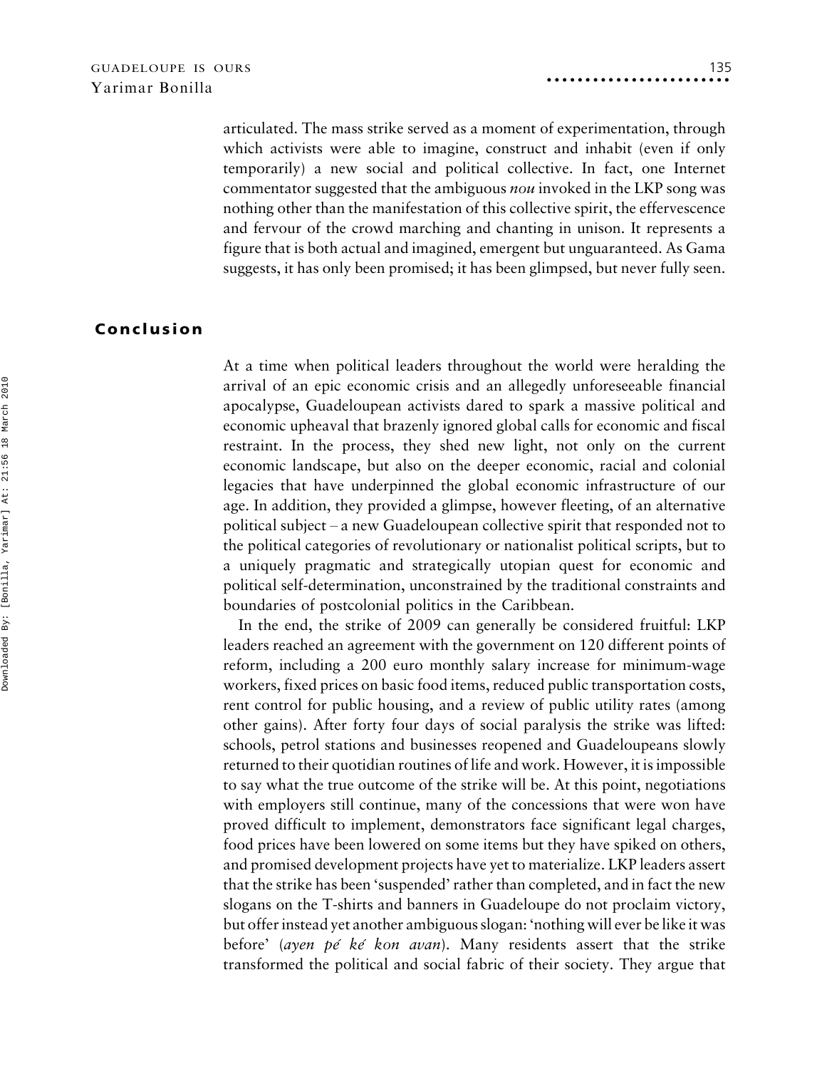articulated. The mass strike served as a moment of experimentation, through which activists were able to imagine, construct and inhabit (even if only temporarily) a new social and political collective. In fact, one Internet commentator suggested that the ambiguous *nou* invoked in the LKP song was nothing other than the manifestation of this collective spirit, the effervescence and fervour of the crowd marching and chanting in unison. It represents a figure that is both actual and imagined, emergent but unguaranteed. As Gama suggests, it has only been promised; it has been glimpsed, but never fully seen.

### Conclusion

At a time when political leaders throughout the world were heralding the arrival of an epic economic crisis and an allegedly unforeseeable financial apocalypse, Guadeloupean activists dared to spark a massive political and economic upheaval that brazenly ignored global calls for economic and fiscal restraint. In the process, they shed new light, not only on the current economic landscape, but also on the deeper economic, racial and colonial legacies that have underpinned the global economic infrastructure of our age. In addition, they provided a glimpse, however fleeting, of an alternative political subject a new Guadeloupean collective spirit that responded not to the political categories of revolutionary or nationalist political scripts, but to a uniquely pragmatic and strategically utopian quest for economic and political self-determination, unconstrained by the traditional constraints and boundaries of postcolonial politics in the Caribbean.

In the end, the strike of 2009 can generally be considered fruitful: LKP leaders reached an agreement with the government on 120 different points of reform, including a 200 euro monthly salary increase for minimum-wage workers, fixed prices on basic food items, reduced public transportation costs, rent control for public housing, and a review of public utility rates (among other gains). After forty four days of social paralysis the strike was lifted: schools, petrol stations and businesses reopened and Guadeloupeans slowly returned to their quotidian routines of life and work. However, it is impossible to say what the true outcome of the strike will be. At this point, negotiations with employers still continue, many of the concessions that were won have proved difficult to implement, demonstrators face significant legal charges, food prices have been lowered on some items but they have spiked on others, and promised development projects have yet to materialize. LKP leaders assert that the strike has been 'suspended' rather than completed, and in fact the new slogans on the T-shirts and banners in Guadeloupe do not proclaim victory, but offer instead yet another ambiguous slogan: 'nothing will ever be like it was before' (ayen pé ké kon avan). Many residents assert that the strike transformed the political and social fabric of their society. They argue that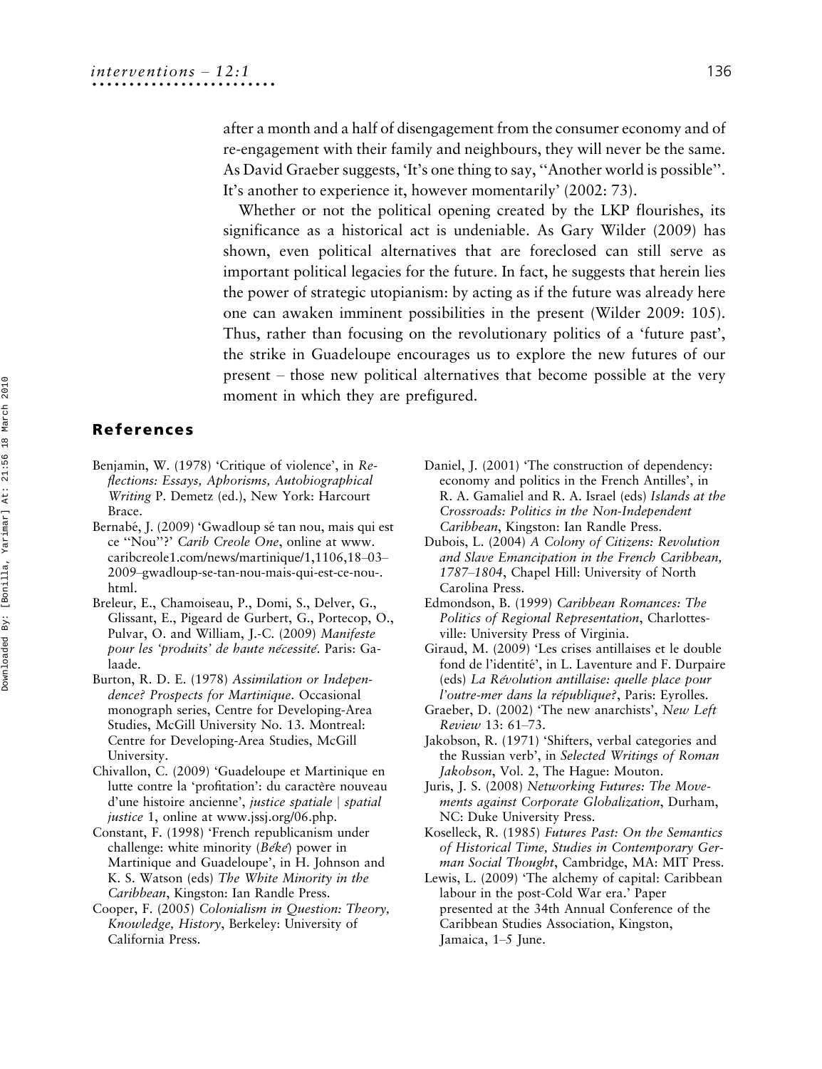after a month and a half of disengagement from the consumer economy and of re-engagement with their family and neighbours, they will never be the same. As David Graeber suggests, 'It's one thing to say, ''Another world is possible''. It's another to experience it, however momentarily' (2002: 73).

Whether or not the political opening created by the LKP flourishes, its significance as a historical act is undeniable. As Gary Wilder (2009) has shown, even political alternatives that are foreclosed can still serve as important political legacies for the future. In fact, he suggests that herein lies the power of strategic utopianism: by acting as if the future was already here one can awaken imminent possibilities in the present (Wilder 2009: 105). Thus, rather than focusing on the revolutionary politics of a 'future past', the strike in Guadeloupe encourages us to explore the new futures of our present – those new political alternatives that become possible at the very moment in which they are prefigured.

### References

- Benjamin, W. (1978) 'Critique of violence', in Reflections: Essays, Aphorisms, Autobiographical Writing P. Demetz (ed.), New York: Harcourt Brace.
- Bernabé, J. (2009) 'Gwadloup sé tan nou, mais qui est ce ''Nou''?' Carib Creole One, online at www. caribcreole1.com/news/martinique/1,1106,18-03-2009-gwadloup-se-tan-nou-mais-qui-est-ce-nou-. html.
- Breleur, E., Chamoiseau, P., Domi, S., Delver, G., Glissant, E., Pigeard de Gurbert, G., Portecop, O., Pulvar, O. and William, J.-C. (2009) Manifeste pour les 'produits' de haute nécessité. Paris: Galaade.
- Burton, R. D. E. (1978) Assimilation or Independence? Prospects for Martinique. Occasional monograph series, Centre for Developing-Area Studies, McGill University No. 13. Montreal: Centre for Developing-Area Studies, McGill University.
- Chivallon, C. (2009) 'Guadeloupe et Martinique en lutte contre la 'profitation': du caractère nouveau d'une histoire ancienne', justice spatiale | spatial justice 1, online at www.jssj.org/06.php.
- Constant, F. (1998) 'French republicanism under challenge: white minority  $(Be\&e)$  power in Martinique and Guadeloupe', in H. Johnson and K. S. Watson (eds) The White Minority in the Caribbean, Kingston: Ian Randle Press.
- Cooper, F. (2005) Colonialism in Question: Theory, Knowledge, History, Berkeley: University of California Press.
- Daniel, J. (2001) 'The construction of dependency: economy and politics in the French Antilles', in R. A. Gamaliel and R. A. Israel (eds) Islands at the Crossroads: Politics in the Non-Independent Caribbean, Kingston: Ian Randle Press.
- Dubois, L. (2004) A Colony of Citizens: Revolution and Slave Emancipation in the French Caribbean, 1787–1804, Chapel Hill: University of North Carolina Press.
- Edmondson, B. (1999) Caribbean Romances: The Politics of Regional Representation, Charlottesville: University Press of Virginia.
- Giraud, M. (2009) 'Les crises antillaises et le double fond de l'identité', in L. Laventure and F. Durpaire (eds) La Révolution antillaise: quelle place pour l'outre-mer dans la république?, Paris: Eyrolles.
- Graeber, D. (2002) 'The new anarchists', New Left Review 13: 61-73.
- Jakobson, R. (1971) 'Shifters, verbal categories and the Russian verb', in Selected Writings of Roman Jakobson, Vol. 2, The Hague: Mouton.
- Juris, J. S. (2008) Networking Futures: The Movements against Corporate Globalization, Durham, NC: Duke University Press.
- Koselleck, R. (1985) Futures Past: On the Semantics of Historical Time, Studies in Contemporary German Social Thought, Cambridge, MA: MIT Press.
- Lewis, L. (2009) 'The alchemy of capital: Caribbean labour in the post-Cold War era.' Paper presented at the 34th Annual Conference of the Caribbean Studies Association, Kingston, Jamaica, 1-5 June.